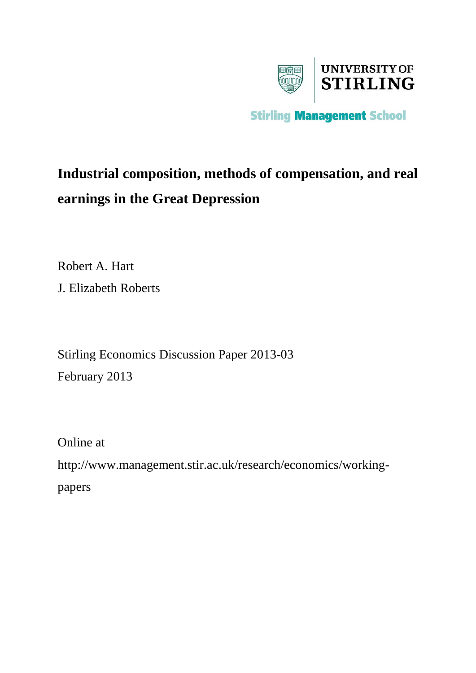

# **Industrial composition, methods of compensation, and real earnings in the Great Depression**

Robert A. Hart

J. Elizabeth Roberts

Stirling Economics Discussion Paper 2013-03 February 2013

Online at http://www.management.stir.ac.uk/research/economics/workingpapers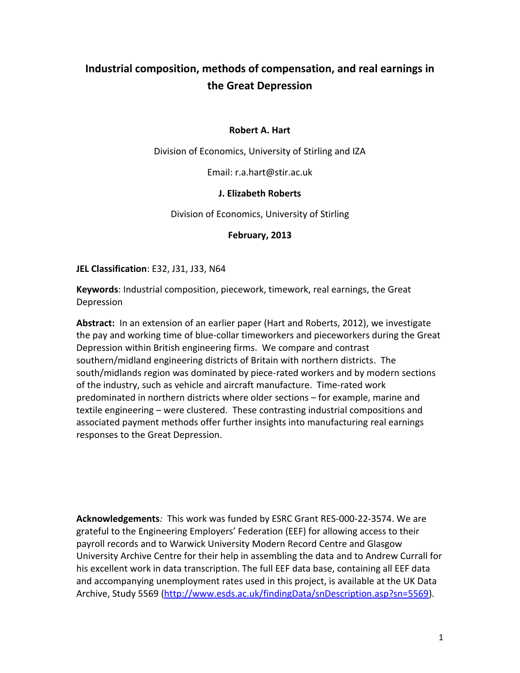# **Industrial composition, methods of compensation, and real earnings in the Great Depression**

# **Robert A. Hart**

Division of Economics, University of Stirling and IZA

Email: r.a.hart@stir.ac.uk

# **J. Elizabeth Roberts**

Division of Economics, University of Stirling

**February, 2013**

**JEL Classification**: E32, J31, J33, N64

**Keywords**: Industrial composition, piecework, timework, real earnings, the Great Depression

**Abstract:** In an extension of an earlier paper (Hart and Roberts, 2012), we investigate the pay and working time of blue-collar timeworkers and pieceworkers during the Great Depression within British engineering firms. We compare and contrast southern/midland engineering districts of Britain with northern districts. The south/midlands region was dominated by piece-rated workers and by modern sections of the industry, such as vehicle and aircraft manufacture. Time-rated work predominated in northern districts where older sections – for example, marine and textile engineering – were clustered. These contrasting industrial compositions and associated payment methods offer further insights into manufacturing real earnings responses to the Great Depression.

**Acknowledgements***:* This work was funded by ESRC Grant RES-000-22-3574. We are grateful to the Engineering Employers' Federation (EEF) for allowing access to their payroll records and to Warwick University Modern Record Centre and Glasgow University Archive Centre for their help in assembling the data and to Andrew Currall for his excellent work in data transcription. The full EEF data base, containing all EEF data and accompanying unemployment rates used in this project, is available at the UK Data Archive, Study 5569 [\(http://www.esds.ac.uk/findingData/snDescription.asp?sn=5569\)](http://www.esds.ac.uk/findingData/snDescription.asp?sn=5569).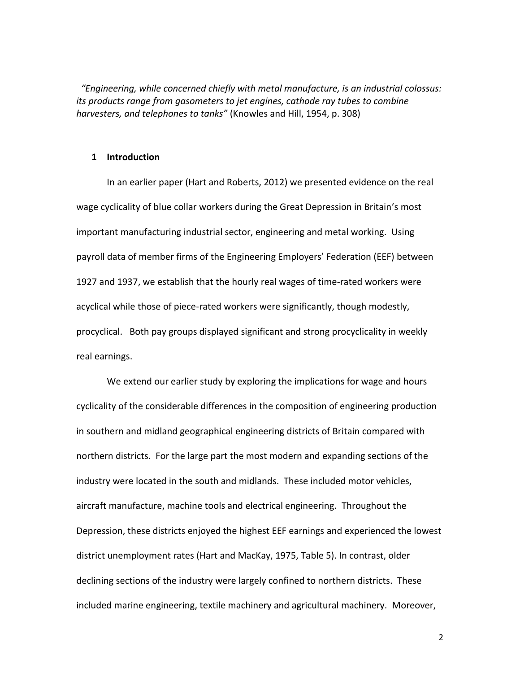*"Engineering, while concerned chiefly with metal manufacture, is an industrial colossus: its products range from gasometers to jet engines, cathode ray tubes to combine harvesters, and telephones to tanks"* (Knowles and Hill, 1954, p. 308)

#### **1 Introduction**

In an earlier paper (Hart and Roberts, 2012) we presented evidence on the real wage cyclicality of blue collar workers during the Great Depression in Britain's most important manufacturing industrial sector, engineering and metal working. Using payroll data of member firms of the Engineering Employers' Federation (EEF) between 1927 and 1937, we establish that the hourly real wages of time-rated workers were acyclical while those of piece-rated workers were significantly, though modestly, procyclical. Both pay groups displayed significant and strong procyclicality in weekly real earnings.

We extend our earlier study by exploring the implications for wage and hours cyclicality of the considerable differences in the composition of engineering production in southern and midland geographical engineering districts of Britain compared with northern districts. For the large part the most modern and expanding sections of the industry were located in the south and midlands. These included motor vehicles, aircraft manufacture, machine tools and electrical engineering. Throughout the Depression, these districts enjoyed the highest EEF earnings and experienced the lowest district unemployment rates (Hart and MacKay, 1975, Table 5). In contrast, older declining sections of the industry were largely confined to northern districts. These included marine engineering, textile machinery and agricultural machinery. Moreover,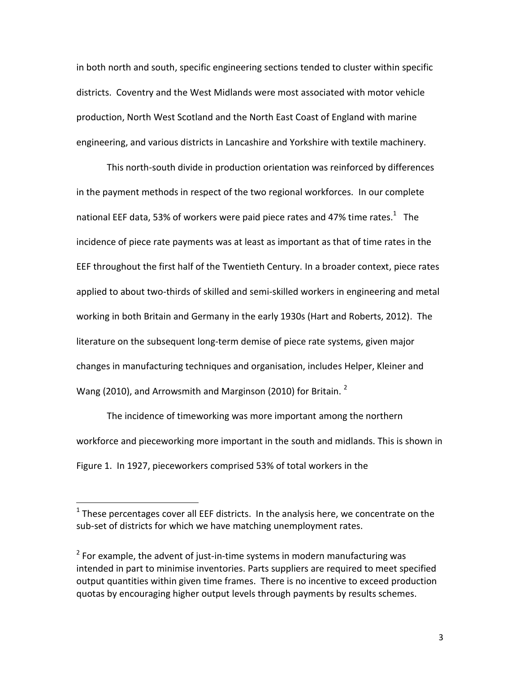in both north and south, specific engineering sections tended to cluster within specific districts. Coventry and the West Midlands were most associated with motor vehicle production, North West Scotland and the North East Coast of England with marine engineering, and various districts in Lancashire and Yorkshire with textile machinery.

This north-south divide in production orientation was reinforced by differences in the payment methods in respect of the two regional workforces. In our complete national EEF data, 53% of workers were paid piece rates and 47% time rates.<sup>1</sup> The incidence of piece rate payments was at least as important as that of time rates in the EEF throughout the first half of the Twentieth Century. In a broader context, piece rates applied to about two-thirds of skilled and semi-skilled workers in engineering and metal working in both Britain and Germany in the early 1930s (Hart and Roberts, 2012). The literature on the subsequent long-term demise of piece rate systems, given major changes in manufacturing techniques and organisation, includes Helper, Kleiner and Wang (2010), and Arrowsmith and Marginson (2010) for Britain.  $^2$ 

The incidence of timeworking was more important among the northern workforce and pieceworking more important in the south and midlands. This is shown in Figure 1. In 1927, pieceworkers comprised 53% of total workers in the

 $1$  These percentages cover all EEF districts. In the analysis here, we concentrate on the sub-set of districts for which we have matching unemployment rates.

 $2$  For example, the advent of just-in-time systems in modern manufacturing was intended in part to minimise inventories. Parts suppliers are required to meet specified output quantities within given time frames. There is no incentive to exceed production quotas by encouraging higher output levels through payments by results schemes.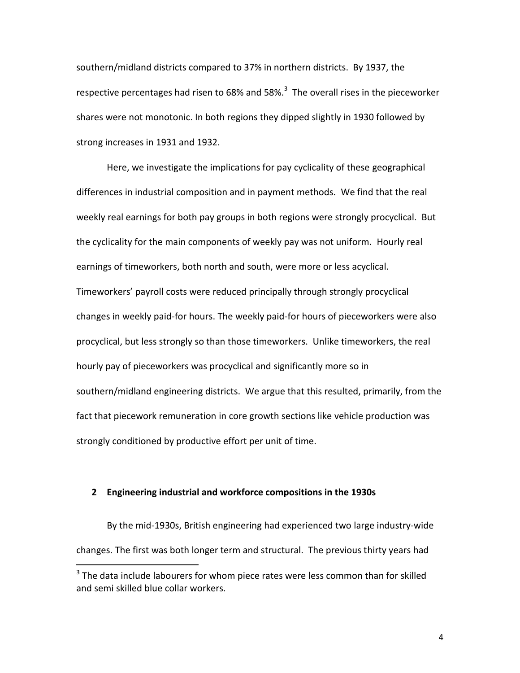southern/midland districts compared to 37% in northern districts. By 1937, the respective percentages had risen to 68% and 58%.<sup>3</sup> The overall rises in the pieceworker shares were not monotonic. In both regions they dipped slightly in 1930 followed by strong increases in 1931 and 1932.

Here, we investigate the implications for pay cyclicality of these geographical differences in industrial composition and in payment methods. We find that the real weekly real earnings for both pay groups in both regions were strongly procyclical. But the cyclicality for the main components of weekly pay was not uniform. Hourly real earnings of timeworkers, both north and south, were more or less acyclical. Timeworkers' payroll costs were reduced principally through strongly procyclical changes in weekly paid-for hours. The weekly paid-for hours of pieceworkers were also procyclical, but less strongly so than those timeworkers. Unlike timeworkers, the real hourly pay of pieceworkers was procyclical and significantly more so in southern/midland engineering districts. We argue that this resulted, primarily, from the fact that piecework remuneration in core growth sections like vehicle production was strongly conditioned by productive effort per unit of time.

#### **2 Engineering industrial and workforce compositions in the 1930s**

 $\overline{a}$ 

By the mid-1930s, British engineering had experienced two large industry-wide changes. The first was both longer term and structural. The previous thirty years had

 $3$  The data include labourers for whom piece rates were less common than for skilled and semi skilled blue collar workers.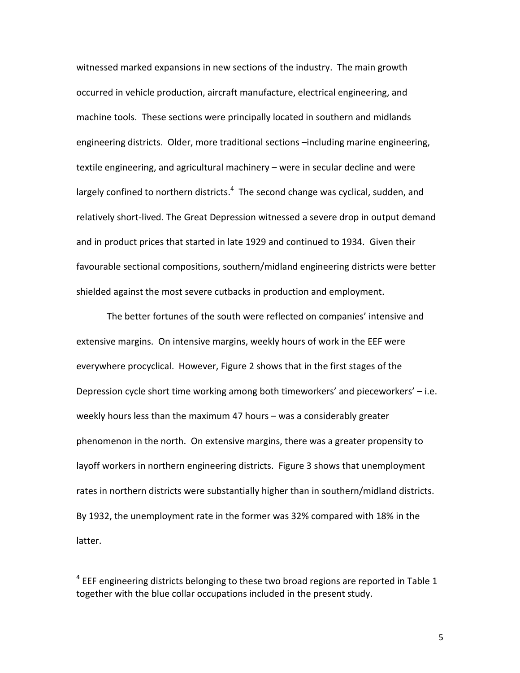witnessed marked expansions in new sections of the industry. The main growth occurred in vehicle production, aircraft manufacture, electrical engineering, and machine tools. These sections were principally located in southern and midlands engineering districts. Older, more traditional sections –including marine engineering, textile engineering, and agricultural machinery – were in secular decline and were largely confined to northern districts.<sup>4</sup> The second change was cyclical, sudden, and relatively short-lived. The Great Depression witnessed a severe drop in output demand and in product prices that started in late 1929 and continued to 1934. Given their favourable sectional compositions, southern/midland engineering districts were better shielded against the most severe cutbacks in production and employment.

The better fortunes of the south were reflected on companies' intensive and extensive margins. On intensive margins, weekly hours of work in the EEF were everywhere procyclical. However, Figure 2 shows that in the first stages of the Depression cycle short time working among both timeworkers' and pieceworkers' – i.e. weekly hours less than the maximum 47 hours – was a considerably greater phenomenon in the north. On extensive margins, there was a greater propensity to layoff workers in northern engineering districts. Figure 3 shows that unemployment rates in northern districts were substantially higher than in southern/midland districts. By 1932, the unemployment rate in the former was 32% compared with 18% in the latter.

 $4$  EEF engineering districts belonging to these two broad regions are reported in Table 1 together with the blue collar occupations included in the present study.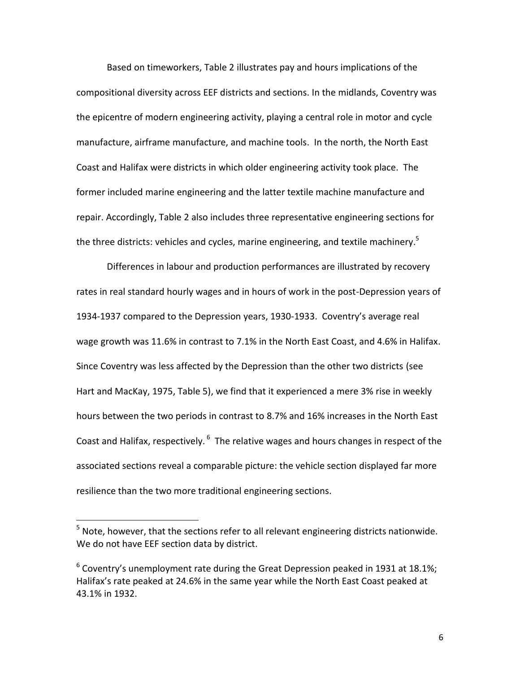Based on timeworkers, Table 2 illustrates pay and hours implications of the compositional diversity across EEF districts and sections. In the midlands, Coventry was the epicentre of modern engineering activity, playing a central role in motor and cycle manufacture, airframe manufacture, and machine tools. In the north, the North East Coast and Halifax were districts in which older engineering activity took place. The former included marine engineering and the latter textile machine manufacture and repair. Accordingly, Table 2 also includes three representative engineering sections for the three districts: vehicles and cycles, marine engineering, and textile machinery.<sup>5</sup>

Differences in labour and production performances are illustrated by recovery rates in real standard hourly wages and in hours of work in the post-Depression years of 1934-1937 compared to the Depression years, 1930-1933. Coventry's average real wage growth was 11.6% in contrast to 7.1% in the North East Coast, and 4.6% in Halifax. Since Coventry was less affected by the Depression than the other two districts (see Hart and MacKay, 1975, Table 5), we find that it experienced a mere 3% rise in weekly hours between the two periods in contrast to 8.7% and 16% increases in the North East Coast and Halifax, respectively. <sup>6</sup> The relative wages and hours changes in respect of the associated sections reveal a comparable picture: the vehicle section displayed far more resilience than the two more traditional engineering sections.

<sup>&</sup>lt;sup>5</sup> Note, however, that the sections refer to all relevant engineering districts nationwide. We do not have EEF section data by district.

 $^6$  Coventry's unemployment rate during the Great Depression peaked in 1931 at 18.1%; Halifax's rate peaked at 24.6% in the same year while the North East Coast peaked at 43.1% in 1932.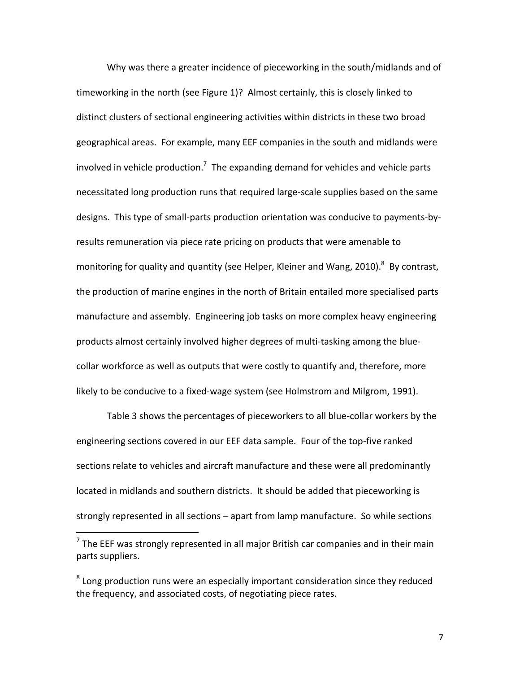Why was there a greater incidence of pieceworking in the south/midlands and of timeworking in the north (see Figure 1)? Almost certainly, this is closely linked to distinct clusters of sectional engineering activities within districts in these two broad geographical areas. For example, many EEF companies in the south and midlands were involved in vehicle production.<sup>7</sup> The expanding demand for vehicles and vehicle parts necessitated long production runs that required large-scale supplies based on the same designs. This type of small-parts production orientation was conducive to payments-byresults remuneration via piece rate pricing on products that were amenable to monitoring for quality and quantity (see Helper, Kleiner and Wang, 2010).<sup>8</sup> By contrast, the production of marine engines in the north of Britain entailed more specialised parts manufacture and assembly. Engineering job tasks on more complex heavy engineering products almost certainly involved higher degrees of multi-tasking among the bluecollar workforce as well as outputs that were costly to quantify and, therefore, more likely to be conducive to a fixed-wage system (see Holmstrom and Milgrom, 1991).

Table 3 shows the percentages of pieceworkers to all blue-collar workers by the engineering sections covered in our EEF data sample. Four of the top-five ranked sections relate to vehicles and aircraft manufacture and these were all predominantly located in midlands and southern districts. It should be added that pieceworking is strongly represented in all sections – apart from lamp manufacture. So while sections  $\overline{a}$ 

 $<sup>7</sup>$  The EEF was strongly represented in all major British car companies and in their main</sup> parts suppliers.

 $8$  Long production runs were an especially important consideration since they reduced the frequency, and associated costs, of negotiating piece rates.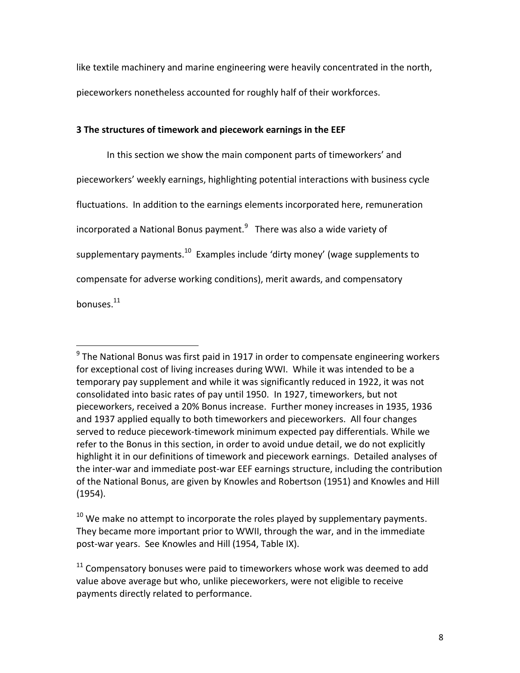like textile machinery and marine engineering were heavily concentrated in the north, pieceworkers nonetheless accounted for roughly half of their workforces.

# **3 The structures of timework and piecework earnings in the EEF**

 $\overline{a}$ 

In this section we show the main component parts of timeworkers' and pieceworkers' weekly earnings, highlighting potential interactions with business cycle fluctuations. In addition to the earnings elements incorporated here, remuneration incorporated a National Bonus payment. $9$  There was also a wide variety of supplementary payments.<sup>10</sup> Examples include 'dirty money' (wage supplements to compensate for adverse working conditions), merit awards, and compensatory bonuses.<sup>11</sup>

<sup>&</sup>lt;sup>9</sup> The National Bonus was first paid in 1917 in order to compensate engineering workers for exceptional cost of living increases during WWI. While it was intended to be a temporary pay supplement and while it was significantly reduced in 1922, it was not consolidated into basic rates of pay until 1950. In 1927, timeworkers, but not pieceworkers, received a 20% Bonus increase. Further money increases in 1935, 1936 and 1937 applied equally to both timeworkers and pieceworkers. All four changes served to reduce piecework-timework minimum expected pay differentials. While we refer to the Bonus in this section, in order to avoid undue detail, we do not explicitly highlight it in our definitions of timework and piecework earnings. Detailed analyses of the inter-war and immediate post-war EEF earnings structure, including the contribution of the National Bonus, are given by Knowles and Robertson (1951) and Knowles and Hill (1954).

 $10$  We make no attempt to incorporate the roles played by supplementary payments. They became more important prior to WWII, through the war, and in the immediate post-war years. See Knowles and Hill (1954, Table IX).

 $11$  Compensatory bonuses were paid to timeworkers whose work was deemed to add value above average but who, unlike pieceworkers, were not eligible to receive payments directly related to performance.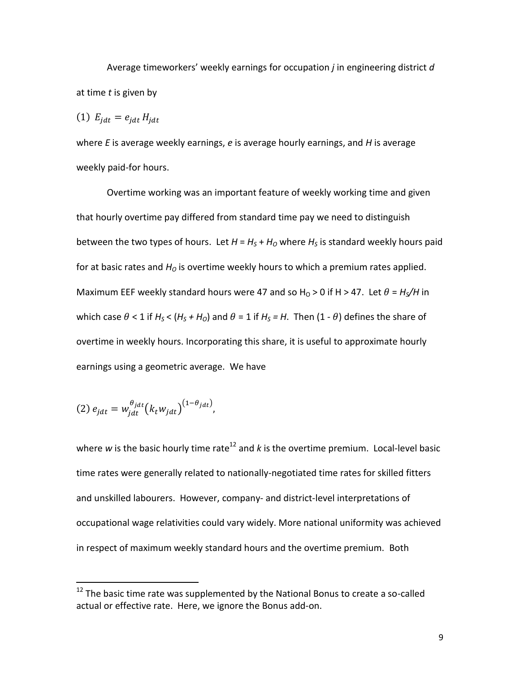Average timeworkers' weekly earnings for occupation *j* in engineering district *d* at time *t* is given by

$$
(1) E_{jdt} = e_{jdt} H_{jdt}
$$

where *E* is average weekly earnings, *e* is average hourly earnings, and *H* is average weekly paid-for hours.

Overtime working was an important feature of weekly working time and given that hourly overtime pay differed from standard time pay we need to distinguish between the two types of hours. Let  $H = H<sub>S</sub> + H<sub>O</sub>$  where  $H<sub>S</sub>$  is standard weekly hours paid for at basic rates and  $H_0$  is overtime weekly hours to which a premium rates applied. Maximum EEF weekly standard hours were 47 and so H<sub>0</sub> > 0 if H > 47. Let  $\theta = H_s/H$  in which case  $\theta$  < 1 if  $H_s$  < ( $H_s$  +  $H_o$ ) and  $\theta$  = 1 if  $H_s$  =  $H$ . Then (1 -  $\theta$ ) defines the share of overtime in weekly hours. Incorporating this share, it is useful to approximate hourly earnings using a geometric average. We have

(2) 
$$
e_{jdt} = w_{jdt}^{\theta_{jdt}} (k_t w_{jdt})^{(1-\theta_{jdt})}
$$
,

 $\overline{a}$ 

where *w* is the basic hourly time rate<sup>12</sup> and *k* is the overtime premium. Local-level basic time rates were generally related to nationally-negotiated time rates for skilled fitters and unskilled labourers. However, company- and district-level interpretations of occupational wage relativities could vary widely. More national uniformity was achieved in respect of maximum weekly standard hours and the overtime premium. Both

 $12$  The basic time rate was supplemented by the National Bonus to create a so-called actual or effective rate. Here, we ignore the Bonus add-on.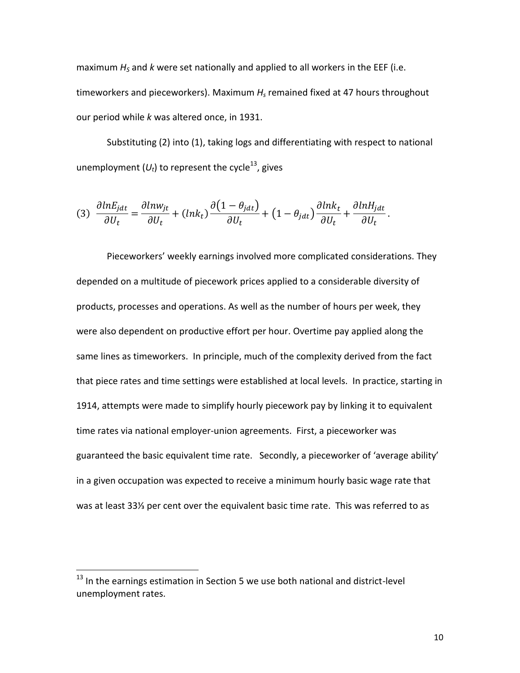maximum  $H<sub>S</sub>$  and  $k$  were set nationally and applied to all workers in the EEF (i.e. timeworkers and pieceworkers). Maximum *H<sup>s</sup>* remained fixed at 47 hours throughout our period while *k* was altered once, in 1931.

Substituting (2) into (1), taking logs and differentiating with respect to national unemployment  $(U_t)$  to represent the cycle<sup>13</sup>, gives

$$
(3)\ \frac{\partial lnE_{jdt}}{\partial U_t} = \frac{\partial lnw_{jt}}{\partial U_t} + (lnk_t) \frac{\partial (1 - \theta_{jdt})}{\partial U_t} + (1 - \theta_{jdt}) \frac{\partial lnk_t}{\partial U_t} + \frac{\partial lnH_{jdt}}{\partial U_t}.
$$

Pieceworkers' weekly earnings involved more complicated considerations. They depended on a multitude of piecework prices applied to a considerable diversity of products, processes and operations. As well as the number of hours per week, they were also dependent on productive effort per hour. Overtime pay applied along the same lines as timeworkers. In principle, much of the complexity derived from the fact that piece rates and time settings were established at local levels. In practice, starting in 1914, attempts were made to simplify hourly piecework pay by linking it to equivalent time rates via national employer-union agreements. First, a pieceworker was guaranteed the basic equivalent time rate. Secondly, a pieceworker of 'average ability' in a given occupation was expected to receive a minimum hourly basic wage rate that was at least 33¼ per cent over the equivalent basic time rate. This was referred to as

 $13$  In the earnings estimation in Section 5 we use both national and district-level unemployment rates.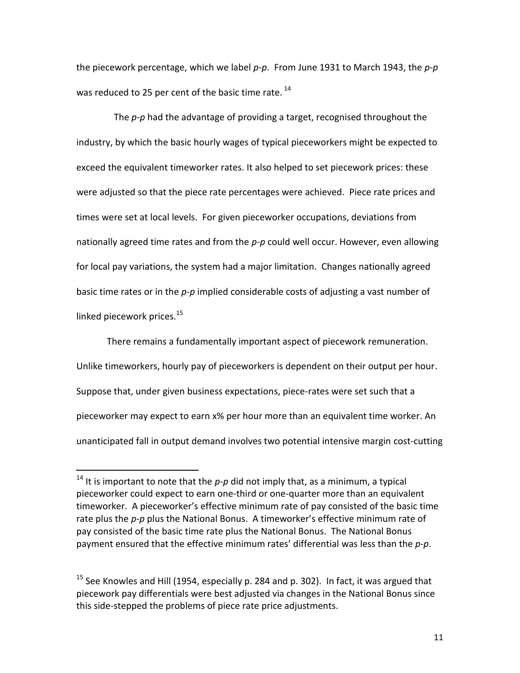the piecework percentage, which we label *p-p*. From June 1931 to March 1943, the *p-p* was reduced to 25 per cent of the basic time rate.  $^{14}$ 

 The *p-p* had the advantage of providing a target, recognised throughout the industry, by which the basic hourly wages of typical pieceworkers might be expected to exceed the equivalent timeworker rates. It also helped to set piecework prices: these were adjusted so that the piece rate percentages were achieved. Piece rate prices and times were set at local levels. For given pieceworker occupations, deviations from nationally agreed time rates and from the *p-p* could well occur. However, even allowing for local pay variations, the system had a major limitation. Changes nationally agreed basic time rates or in the *p-p* implied considerable costs of adjusting a vast number of linked piecework prices.<sup>15</sup>

There remains a fundamentally important aspect of piecework remuneration. Unlike timeworkers, hourly pay of pieceworkers is dependent on their output per hour. Suppose that, under given business expectations, piece-rates were set such that a pieceworker may expect to earn x% per hour more than an equivalent time worker. An unanticipated fall in output demand involves two potential intensive margin cost-cutting

<sup>&</sup>lt;sup>14</sup> It is important to note that the  $p-p$  did not imply that, as a minimum, a typical pieceworker could expect to earn one-third or one-quarter more than an equivalent timeworker. A pieceworker's effective minimum rate of pay consisted of the basic time rate plus the *p-p* plus the National Bonus. A timeworker's effective minimum rate of pay consisted of the basic time rate plus the National Bonus. The National Bonus payment ensured that the effective minimum rates' differential was less than the *p-p*.

<sup>&</sup>lt;sup>15</sup> See Knowles and Hill (1954, especially p. 284 and p. 302). In fact, it was argued that piecework pay differentials were best adjusted via changes in the National Bonus since this side-stepped the problems of piece rate price adjustments.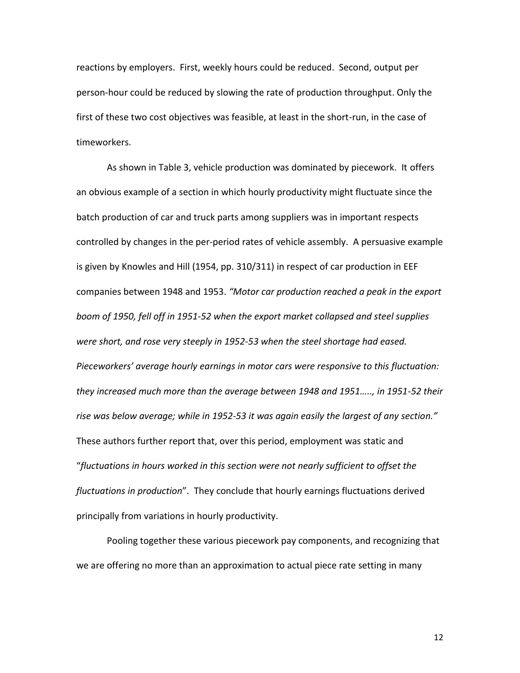reactions by employers. First, weekly hours could be reduced. Second, output per person-hour could be reduced by slowing the rate of production throughput. Only the first of these two cost objectives was feasible, at least in the short-run, in the case of timeworkers.

As shown in Table 3, vehicle production was dominated by piecework. It offers an obvious example of a section in which hourly productivity might fluctuate since the batch production of car and truck parts among suppliers was in important respects controlled by changes in the per-period rates of vehicle assembly. A persuasive example is given by Knowles and Hill (1954, pp. 310/311) in respect of car production in EEF companies between 1948 and 1953. *"Motor car production reached a peak in the export boom of 1950, fell off in 1951-52 when the export market collapsed and steel supplies were short, and rose very steeply in 1952-53 when the steel shortage had eased. Pieceworkers' average hourly earnings in motor cars were responsive to this fluctuation: they increased much more than the average between 1948 and 1951….., in 1951-52 their rise was below average; while in 1952-53 it was again easily the largest of any section."* These authors further report that, over this period, employment was static and "*fluctuations in hours worked in this section were not nearly sufficient to offset the fluctuations in production*". They conclude that hourly earnings fluctuations derived principally from variations in hourly productivity.

Pooling together these various piecework pay components, and recognizing that we are offering no more than an approximation to actual piece rate setting in many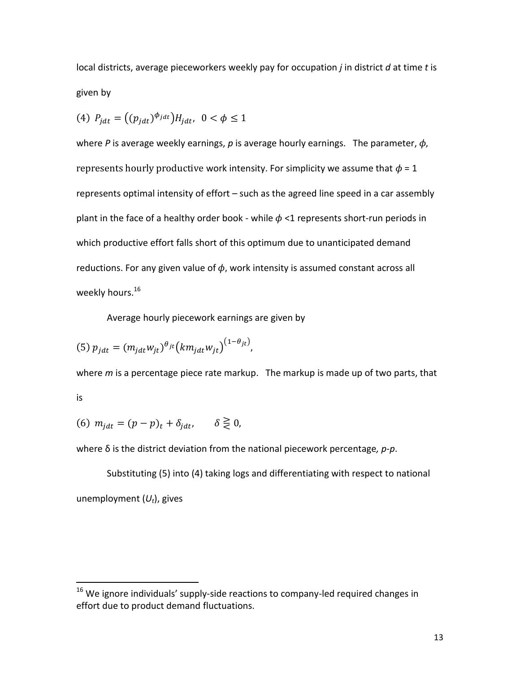local districts, average pieceworkers weekly pay for occupation *j* in district *d* at time *t* is given by

(4) 
$$
P_{jdt} = ((p_{jdt})^{\phi_{jdt}})H_{jdt}, \ 0 < \phi \le 1
$$

where  $P$  is average weekly earnings,  $p$  is average hourly earnings. The parameter,  $\phi$ , represents hourly productive work intensity. For simplicity we assume that  $\phi = 1$ represents optimal intensity of effort – such as the agreed line speed in a car assembly plant in the face of a healthy order book - while  $\phi$  <1 represents short-run periods in which productive effort falls short of this optimum due to unanticipated demand reductions. For any given value of  $\phi$ , work intensity is assumed constant across all weekly hours.<sup>16</sup>

Average hourly piecework earnings are given by

(5) 
$$
p_{jdt} = (m_{jdt}w_{jt})^{\theta_{jt}}(km_{jdt}w_{jt})^{(1-\theta_{jt})},
$$

where *m* is a percentage piece rate markup. The markup is made up of two parts, that is

$$
(6) \ \ m_{jdt} = (p-p)_t + \delta_{jdt}, \qquad \delta \gtrless 0,
$$

 $\overline{a}$ 

where δ is the district deviation from the national piecework percentage*, p-p*.

Substituting (5) into (4) taking logs and differentiating with respect to national unemployment (*Ut*), gives

 $16$  We ignore individuals' supply-side reactions to company-led required changes in effort due to product demand fluctuations.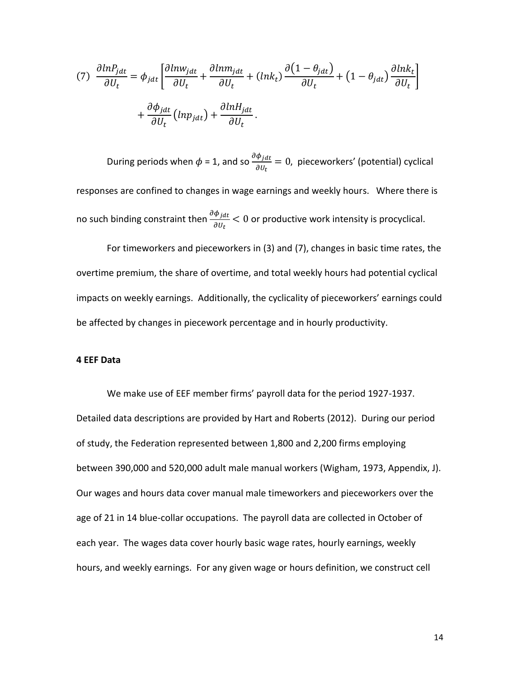$$
(7) \frac{\partial lnP_{jdt}}{\partial U_t} = \phi_{jdt} \left[ \frac{\partial lnw_{jdt}}{\partial U_t} + \frac{\partial lnm_{jdt}}{\partial U_t} + (lnk_t) \frac{\partial (1 - \theta_{jdt})}{\partial U_t} + (1 - \theta_{jdt}) \frac{\partial lnk_t}{\partial U_t} \right]
$$

$$
+ \frac{\partial \phi_{jdt}}{\partial U_t} (lnp_{jdt}) + \frac{\partial lnH_{jdt}}{\partial U_t}.
$$

During periods when  $\phi = 1$ , and so  $\frac{\partial \psi_{jdt}}{\partial v_t} = 0$ , pieceworkers' (potential) cyclical responses are confined to changes in wage earnings and weekly hours. Where there is no such binding constraint then  $\frac{\partial \Psi_{j} dx}{\partial U_t} < 0$  or productive work intensity is procyclical.

For timeworkers and pieceworkers in (3) and (7), changes in basic time rates, the overtime premium, the share of overtime, and total weekly hours had potential cyclical impacts on weekly earnings. Additionally, the cyclicality of pieceworkers' earnings could be affected by changes in piecework percentage and in hourly productivity.

# **4 EEF Data**

We make use of EEF member firms' payroll data for the period 1927-1937. Detailed data descriptions are provided by Hart and Roberts (2012). During our period of study, the Federation represented between 1,800 and 2,200 firms employing between 390,000 and 520,000 adult male manual workers (Wigham, 1973, Appendix, J). Our wages and hours data cover manual male timeworkers and pieceworkers over the age of 21 in 14 blue-collar occupations. The payroll data are collected in October of each year. The wages data cover hourly basic wage rates, hourly earnings, weekly hours, and weekly earnings. For any given wage or hours definition, we construct cell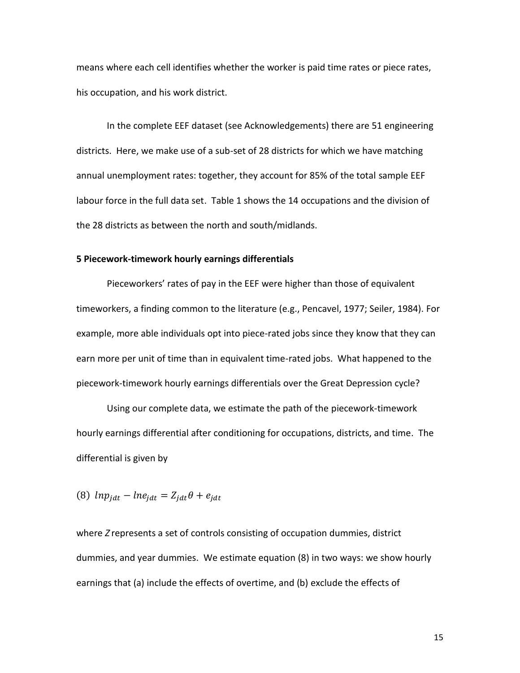means where each cell identifies whether the worker is paid time rates or piece rates, his occupation, and his work district.

In the complete EEF dataset (see Acknowledgements) there are 51 engineering districts. Here, we make use of a sub-set of 28 districts for which we have matching annual unemployment rates: together, they account for 85% of the total sample EEF labour force in the full data set. Table 1 shows the 14 occupations and the division of the 28 districts as between the north and south/midlands.

#### **5 Piecework-timework hourly earnings differentials**

Pieceworkers' rates of pay in the EEF were higher than those of equivalent timeworkers, a finding common to the literature (e.g., Pencavel, 1977; Seiler, 1984). For example, more able individuals opt into piece-rated jobs since they know that they can earn more per unit of time than in equivalent time-rated jobs. What happened to the piecework-timework hourly earnings differentials over the Great Depression cycle?

Using our complete data, we estimate the path of the piecework-timework hourly earnings differential after conditioning for occupations, districts, and time. The differential is given by

(8)  $ln p_{jdt} - ln e_{jdt} = Z_{jdt} \theta + e_{jdt}$ 

where *Z* represents a set of controls consisting of occupation dummies, district dummies, and year dummies. We estimate equation (8) in two ways: we show hourly earnings that (a) include the effects of overtime, and (b) exclude the effects of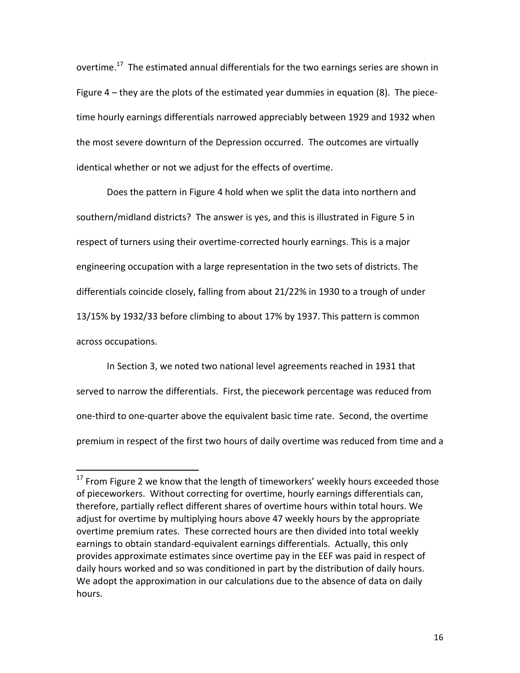overtime.<sup>17</sup> The estimated annual differentials for the two earnings series are shown in Figure 4 – they are the plots of the estimated year dummies in equation (8). The piecetime hourly earnings differentials narrowed appreciably between 1929 and 1932 when the most severe downturn of the Depression occurred. The outcomes are virtually identical whether or not we adjust for the effects of overtime.

Does the pattern in Figure 4 hold when we split the data into northern and southern/midland districts? The answer is yes, and this is illustrated in Figure 5 in respect of turners using their overtime-corrected hourly earnings. This is a major engineering occupation with a large representation in the two sets of districts. The differentials coincide closely, falling from about 21/22% in 1930 to a trough of under 13/15% by 1932/33 before climbing to about 17% by 1937. This pattern is common across occupations.

In Section 3, we noted two national level agreements reached in 1931 that served to narrow the differentials. First, the piecework percentage was reduced from one-third to one-quarter above the equivalent basic time rate. Second, the overtime premium in respect of the first two hours of daily overtime was reduced from time and a

 $17$  From Figure 2 we know that the length of timeworkers' weekly hours exceeded those of pieceworkers. Without correcting for overtime, hourly earnings differentials can, therefore, partially reflect different shares of overtime hours within total hours. We adjust for overtime by multiplying hours above 47 weekly hours by the appropriate overtime premium rates. These corrected hours are then divided into total weekly earnings to obtain standard-equivalent earnings differentials. Actually, this only provides approximate estimates since overtime pay in the EEF was paid in respect of daily hours worked and so was conditioned in part by the distribution of daily hours. We adopt the approximation in our calculations due to the absence of data on daily hours.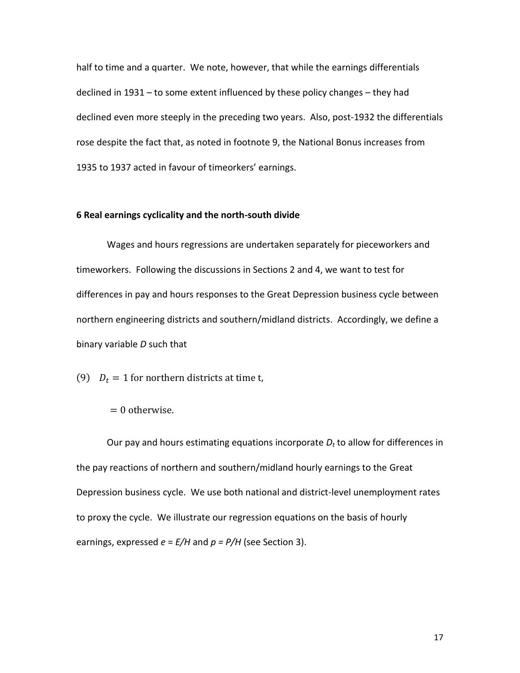half to time and a quarter. We note, however, that while the earnings differentials declined in 1931 – to some extent influenced by these policy changes – they had declined even more steeply in the preceding two years. Also, post-1932 the differentials rose despite the fact that, as noted in footnote 9, the National Bonus increases from 1935 to 1937 acted in favour of timeorkers' earnings.

#### **6 Real earnings cyclicality and the north-south divide**

Wages and hours regressions are undertaken separately for pieceworkers and timeworkers. Following the discussions in Sections 2 and 4, we want to test for differences in pay and hours responses to the Great Depression business cycle between northern engineering districts and southern/midland districts. Accordingly, we define a binary variable *D* such that

(9)  $D_t = 1$  for northern districts at time t,

#### $= 0$  otherwise.

Our pay and hours estimating equations incorporate *D<sup>t</sup>* to allow for differences in the pay reactions of northern and southern/midland hourly earnings to the Great Depression business cycle. We use both national and district-level unemployment rates to proxy the cycle. We illustrate our regression equations on the basis of hourly earnings, expressed *e* = *E/H* and *p = P/H* (see Section 3).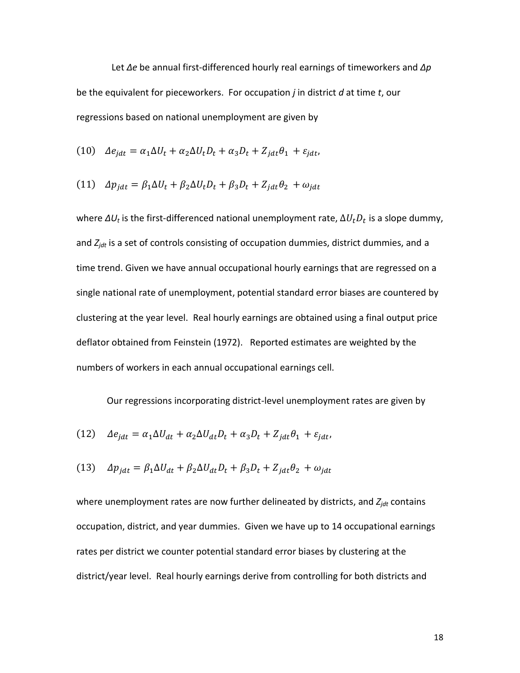Let *Δe* be annual first-differenced hourly real earnings of timeworkers and *Δp* be the equivalent for pieceworkers. For occupation *j* in district *d* at time *t*, our regressions based on national unemployment are given by

(10) 
$$
\Delta e_{jdt} = \alpha_1 \Delta U_t + \alpha_2 \Delta U_t D_t + \alpha_3 D_t + Z_{jdt} \theta_1 + \varepsilon_{jdt}
$$

(11) 
$$
\Delta p_{jdt} = \beta_1 \Delta U_t + \beta_2 \Delta U_t D_t + \beta_3 D_t + Z_{jdt} \theta_2 + \omega_{jdt}
$$

where ΔU<sub>t</sub> is the first-differenced national unemployment rate,  $\Delta U_t D_t$  is a slope dummy, and *Zjdt* is a set of controls consisting of occupation dummies, district dummies, and a time trend. Given we have annual occupational hourly earnings that are regressed on a single national rate of unemployment, potential standard error biases are countered by clustering at the year level. Real hourly earnings are obtained using a final output price deflator obtained from Feinstein (1972). Reported estimates are weighted by the numbers of workers in each annual occupational earnings cell.

Our regressions incorporating district-level unemployment rates are given by

(12) 
$$
\Delta e_{jdt} = \alpha_1 \Delta U_{dt} + \alpha_2 \Delta U_{dt} D_t + \alpha_3 D_t + Z_{jdt} \theta_1 + \varepsilon_{jdt},
$$

(13) 
$$
\Delta p_{jdt} = \beta_1 \Delta U_{dt} + \beta_2 \Delta U_{dt} D_t + \beta_3 D_t + Z_{jdt} \theta_2 + \omega_{jdt}
$$

where unemployment rates are now further delineated by districts, and  $Z_{\text{jet}}$  contains occupation, district, and year dummies. Given we have up to 14 occupational earnings rates per district we counter potential standard error biases by clustering at the district/year level. Real hourly earnings derive from controlling for both districts and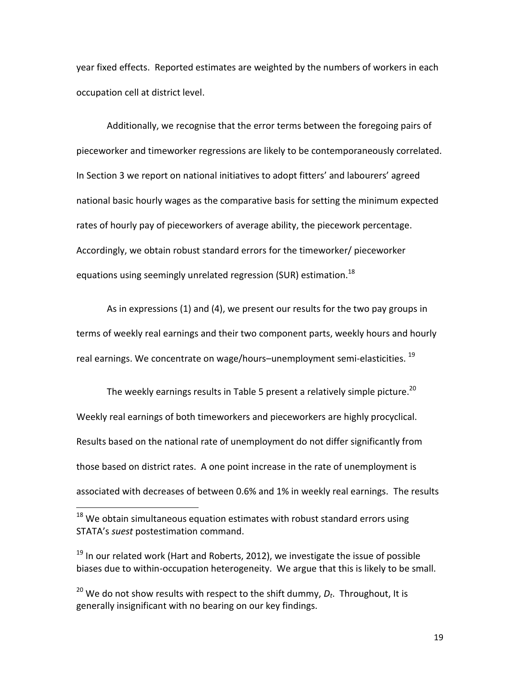year fixed effects. Reported estimates are weighted by the numbers of workers in each occupation cell at district level.

Additionally, we recognise that the error terms between the foregoing pairs of pieceworker and timeworker regressions are likely to be contemporaneously correlated. In Section 3 we report on national initiatives to adopt fitters' and labourers' agreed national basic hourly wages as the comparative basis for setting the minimum expected rates of hourly pay of pieceworkers of average ability, the piecework percentage. Accordingly, we obtain robust standard errors for the timeworker/ pieceworker equations using seemingly unrelated regression (SUR) estimation.<sup>18</sup>

As in expressions (1) and (4), we present our results for the two pay groups in terms of weekly real earnings and their two component parts, weekly hours and hourly real earnings. We concentrate on wage/hours-unemployment semi-elasticities. <sup>19</sup>

The weekly earnings results in Table 5 present a relatively simple picture.<sup>20</sup> Weekly real earnings of both timeworkers and pieceworkers are highly procyclical. Results based on the national rate of unemployment do not differ significantly from those based on district rates. A one point increase in the rate of unemployment is associated with decreases of between 0.6% and 1% in weekly real earnings. The results

 $18$  We obtain simultaneous equation estimates with robust standard errors using STATA's *suest* postestimation command.

 $19$  In our related work (Hart and Roberts, 2012), we investigate the issue of possible biases due to within-occupation heterogeneity. We argue that this is likely to be small.

<sup>20</sup> We do not show results with respect to the shift dummy, *D<sup>t</sup>* . Throughout, It is generally insignificant with no bearing on our key findings.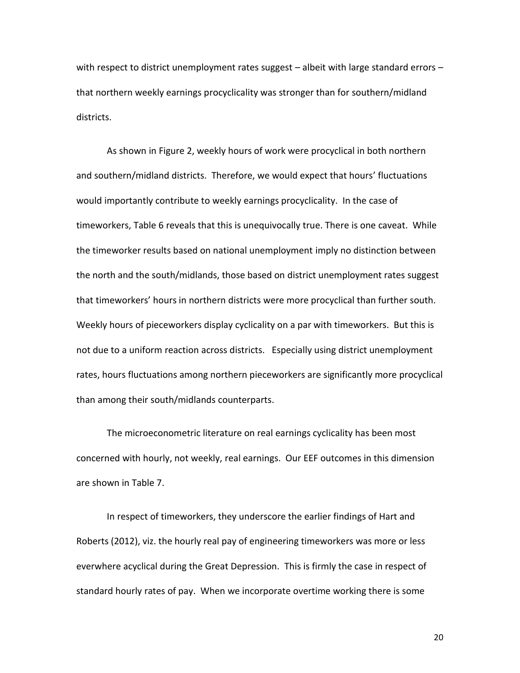with respect to district unemployment rates suggest - albeit with large standard errors that northern weekly earnings procyclicality was stronger than for southern/midland districts.

As shown in Figure 2, weekly hours of work were procyclical in both northern and southern/midland districts. Therefore, we would expect that hours' fluctuations would importantly contribute to weekly earnings procyclicality. In the case of timeworkers, Table 6 reveals that this is unequivocally true. There is one caveat. While the timeworker results based on national unemployment imply no distinction between the north and the south/midlands, those based on district unemployment rates suggest that timeworkers' hours in northern districts were more procyclical than further south. Weekly hours of pieceworkers display cyclicality on a par with timeworkers. But this is not due to a uniform reaction across districts. Especially using district unemployment rates, hours fluctuations among northern pieceworkers are significantly more procyclical than among their south/midlands counterparts.

The microeconometric literature on real earnings cyclicality has been most concerned with hourly, not weekly, real earnings. Our EEF outcomes in this dimension are shown in Table 7.

In respect of timeworkers, they underscore the earlier findings of Hart and Roberts (2012), viz. the hourly real pay of engineering timeworkers was more or less everwhere acyclical during the Great Depression. This is firmly the case in respect of standard hourly rates of pay. When we incorporate overtime working there is some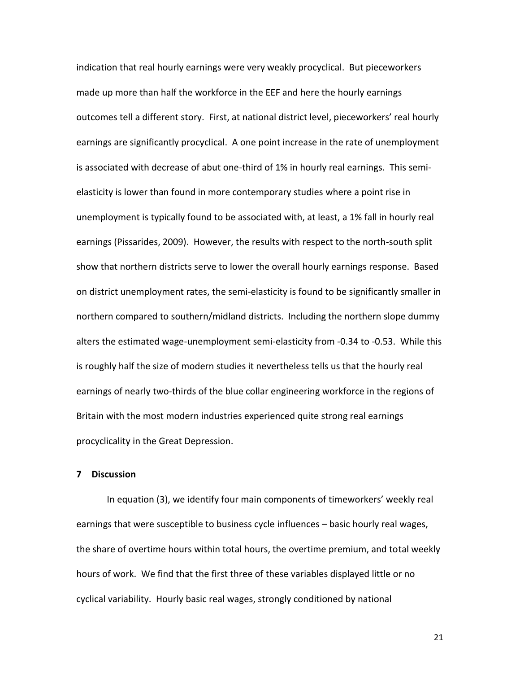indication that real hourly earnings were very weakly procyclical. But pieceworkers made up more than half the workforce in the EEF and here the hourly earnings outcomes tell a different story. First, at national district level, pieceworkers' real hourly earnings are significantly procyclical. A one point increase in the rate of unemployment is associated with decrease of abut one-third of 1% in hourly real earnings. This semielasticity is lower than found in more contemporary studies where a point rise in unemployment is typically found to be associated with, at least, a 1% fall in hourly real earnings (Pissarides, 2009). However, the results with respect to the north-south split show that northern districts serve to lower the overall hourly earnings response. Based on district unemployment rates, the semi-elasticity is found to be significantly smaller in northern compared to southern/midland districts. Including the northern slope dummy alters the estimated wage-unemployment semi-elasticity from -0.34 to -0.53. While this is roughly half the size of modern studies it nevertheless tells us that the hourly real earnings of nearly two-thirds of the blue collar engineering workforce in the regions of Britain with the most modern industries experienced quite strong real earnings procyclicality in the Great Depression.

#### **7 Discussion**

In equation (3), we identify four main components of timeworkers' weekly real earnings that were susceptible to business cycle influences – basic hourly real wages, the share of overtime hours within total hours, the overtime premium, and total weekly hours of work. We find that the first three of these variables displayed little or no cyclical variability. Hourly basic real wages, strongly conditioned by national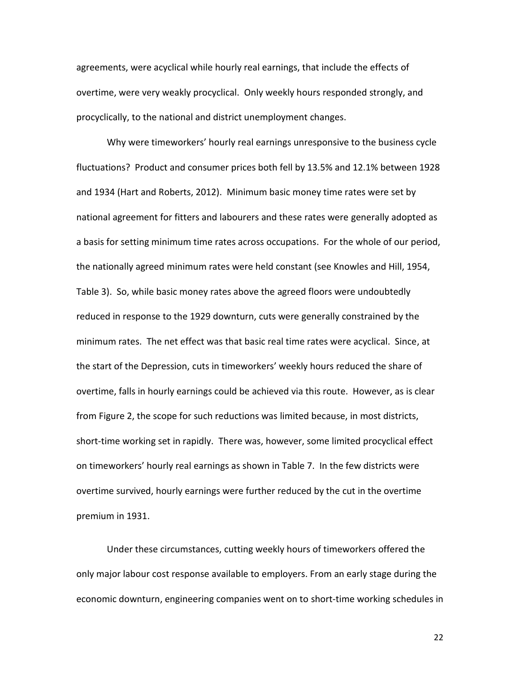agreements, were acyclical while hourly real earnings, that include the effects of overtime, were very weakly procyclical. Only weekly hours responded strongly, and procyclically, to the national and district unemployment changes.

Why were timeworkers' hourly real earnings unresponsive to the business cycle fluctuations? Product and consumer prices both fell by 13.5% and 12.1% between 1928 and 1934 (Hart and Roberts, 2012). Minimum basic money time rates were set by national agreement for fitters and labourers and these rates were generally adopted as a basis for setting minimum time rates across occupations. For the whole of our period, the nationally agreed minimum rates were held constant (see Knowles and Hill, 1954, Table 3). So, while basic money rates above the agreed floors were undoubtedly reduced in response to the 1929 downturn, cuts were generally constrained by the minimum rates. The net effect was that basic real time rates were acyclical. Since, at the start of the Depression, cuts in timeworkers' weekly hours reduced the share of overtime, falls in hourly earnings could be achieved via this route. However, as is clear from Figure 2, the scope for such reductions was limited because, in most districts, short-time working set in rapidly. There was, however, some limited procyclical effect on timeworkers' hourly real earnings as shown in Table 7. In the few districts were overtime survived, hourly earnings were further reduced by the cut in the overtime premium in 1931.

Under these circumstances, cutting weekly hours of timeworkers offered the only major labour cost response available to employers. From an early stage during the economic downturn, engineering companies went on to short-time working schedules in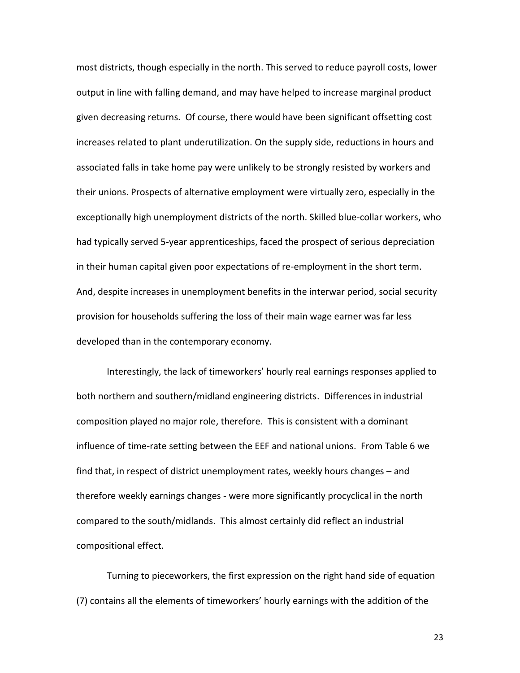most districts, though especially in the north. This served to reduce payroll costs, lower output in line with falling demand, and may have helped to increase marginal product given decreasing returns. Of course, there would have been significant offsetting cost increases related to plant underutilization. On the supply side, reductions in hours and associated falls in take home pay were unlikely to be strongly resisted by workers and their unions. Prospects of alternative employment were virtually zero, especially in the exceptionally high unemployment districts of the north. Skilled blue-collar workers, who had typically served 5-year apprenticeships, faced the prospect of serious depreciation in their human capital given poor expectations of re-employment in the short term. And, despite increases in unemployment benefits in the interwar period, social security provision for households suffering the loss of their main wage earner was far less developed than in the contemporary economy.

Interestingly, the lack of timeworkers' hourly real earnings responses applied to both northern and southern/midland engineering districts. Differences in industrial composition played no major role, therefore. This is consistent with a dominant influence of time-rate setting between the EEF and national unions. From Table 6 we find that, in respect of district unemployment rates, weekly hours changes – and therefore weekly earnings changes - were more significantly procyclical in the north compared to the south/midlands. This almost certainly did reflect an industrial compositional effect.

Turning to pieceworkers, the first expression on the right hand side of equation (7) contains all the elements of timeworkers' hourly earnings with the addition of the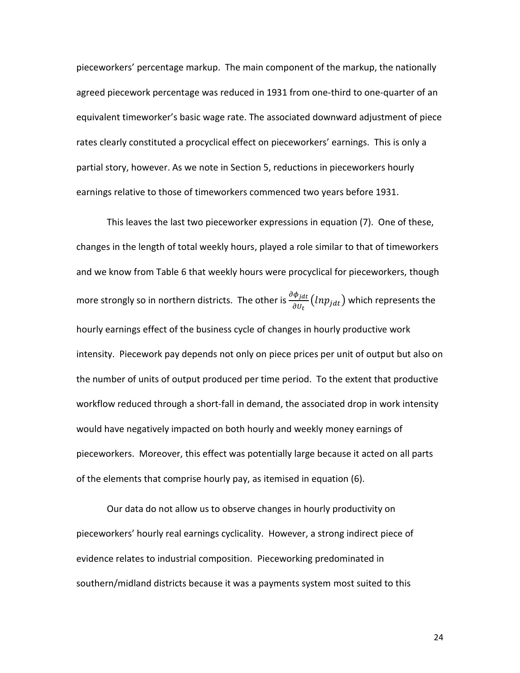pieceworkers' percentage markup. The main component of the markup, the nationally agreed piecework percentage was reduced in 1931 from one-third to one-quarter of an equivalent timeworker's basic wage rate. The associated downward adjustment of piece rates clearly constituted a procyclical effect on pieceworkers' earnings. This is only a partial story, however. As we note in Section 5, reductions in pieceworkers hourly earnings relative to those of timeworkers commenced two years before 1931.

This leaves the last two pieceworker expressions in equation (7). One of these, changes in the length of total weekly hours, played a role similar to that of timeworkers and we know from Table 6 that weekly hours were procyclical for pieceworkers, though more strongly so in northern districts. The other is  $\frac{\partial}{\partial x}$  $\frac{\varphi_{jdt}}{\partial v_t} (ln p_{jdt})$  which represents the hourly earnings effect of the business cycle of changes in hourly productive work intensity. Piecework pay depends not only on piece prices per unit of output but also on the number of units of output produced per time period. To the extent that productive workflow reduced through a short-fall in demand, the associated drop in work intensity would have negatively impacted on both hourly and weekly money earnings of pieceworkers. Moreover, this effect was potentially large because it acted on all parts of the elements that comprise hourly pay, as itemised in equation (6).

Our data do not allow us to observe changes in hourly productivity on pieceworkers' hourly real earnings cyclicality. However, a strong indirect piece of evidence relates to industrial composition. Pieceworking predominated in southern/midland districts because it was a payments system most suited to this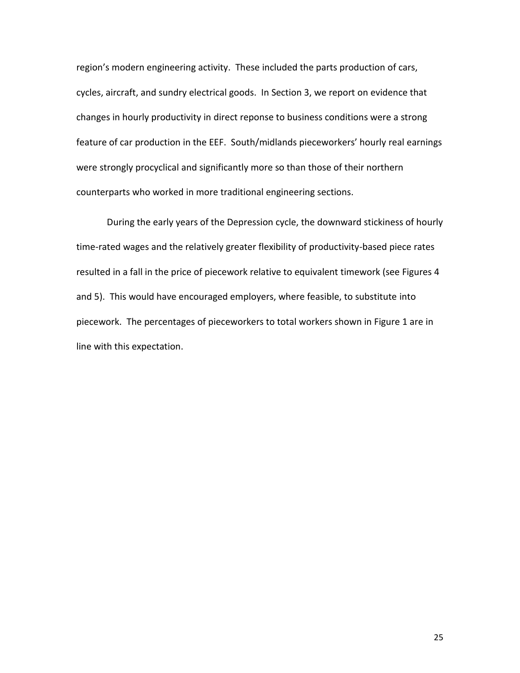region's modern engineering activity. These included the parts production of cars, cycles, aircraft, and sundry electrical goods. In Section 3, we report on evidence that changes in hourly productivity in direct reponse to business conditions were a strong feature of car production in the EEF. South/midlands pieceworkers' hourly real earnings were strongly procyclical and significantly more so than those of their northern counterparts who worked in more traditional engineering sections.

During the early years of the Depression cycle, the downward stickiness of hourly time-rated wages and the relatively greater flexibility of productivity-based piece rates resulted in a fall in the price of piecework relative to equivalent timework (see Figures 4 and 5). This would have encouraged employers, where feasible, to substitute into piecework. The percentages of pieceworkers to total workers shown in Figure 1 are in line with this expectation.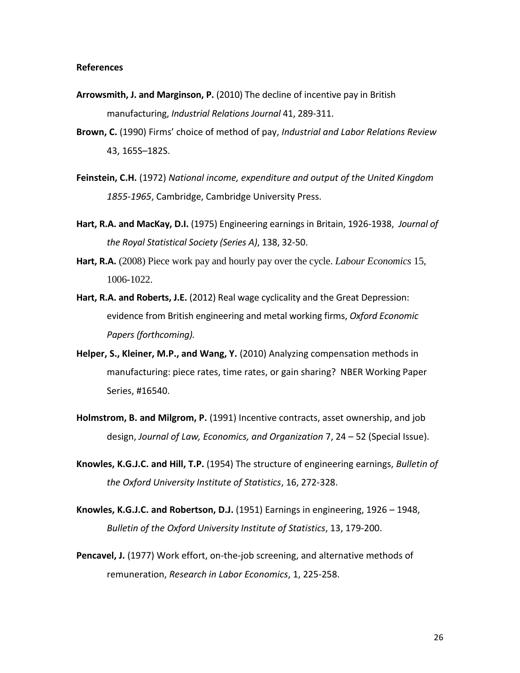#### **References**

- **Arrowsmith, J. and Marginson, P.** (2010) The decline of incentive pay in British manufacturing, *Industrial Relations Journal* 41, 289-311.
- **Brown, C.** (1990) Firms' choice of method of pay, *Industrial and Labor Relations Review* 43, 165S–182S.
- **Feinstein, C.H.** (1972) *National income, expenditure and output of the United Kingdom 1855-1965*, Cambridge, Cambridge University Press.
- **Hart, R.A. and MacKay, D.I.** (1975) Engineering earnings in Britain, 1926-1938, *Journal of the Royal Statistical Society (Series A)*, 138, 32-50.
- **Hart, R.A.** (2008) Piece work pay and hourly pay over the cycle. *Labour Economics* 15, 1006-1022.
- **Hart, R.A. and Roberts, J.E.** (2012) Real wage cyclicality and the Great Depression: evidence from British engineering and metal working firms, *Oxford Economic Papers (forthcoming).*
- **Helper, S., Kleiner, M.P., and Wang, Y.** (2010) Analyzing compensation methods in manufacturing: piece rates, time rates, or gain sharing? NBER Working Paper Series, #16540.
- **Holmstrom, B. and Milgrom, P.** (1991) Incentive contracts, asset ownership, and job design, *Journal of Law, Economics, and Organization* 7, 24 – 52 (Special Issue).
- **Knowles, K.G.J.C. and Hill, T.P.** (1954) The structure of engineering earnings, *Bulletin of the Oxford University Institute of Statistics*, 16, 272-328.
- **Knowles, K.G.J.C. and Robertson, D.J.** (1951) Earnings in engineering, 1926 1948, *Bulletin of the Oxford University Institute of Statistics*, 13, 179-200.
- **Pencavel, J.** (1977) Work effort, on-the-job screening, and alternative methods of remuneration, *Research in Labor Economics*, 1, 225-258.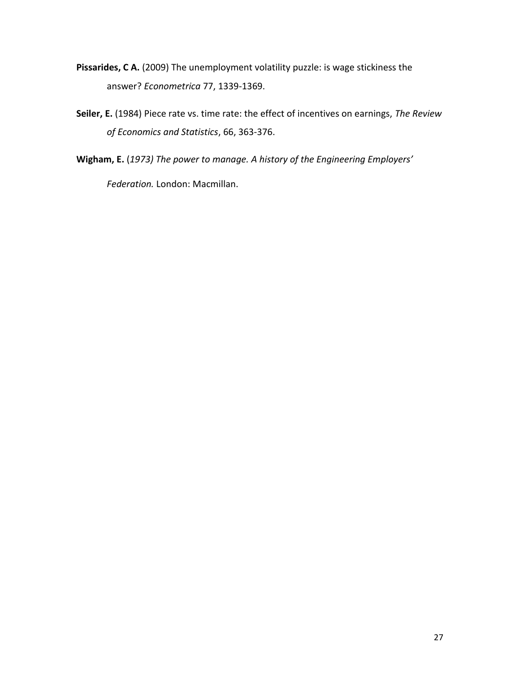- **Pissarides, C A.** (2009) The unemployment volatility puzzle: is wage stickiness the answer? *Econometrica* 77, 1339-1369.
- **Seiler, E.** (1984) Piece rate vs. time rate: the effect of incentives on earnings, *The Review of Economics and Statistics*, 66, 363-376.
- **Wigham, E.** (*1973) The power to manage. A history of the Engineering Employers'*

*Federation.* London: Macmillan.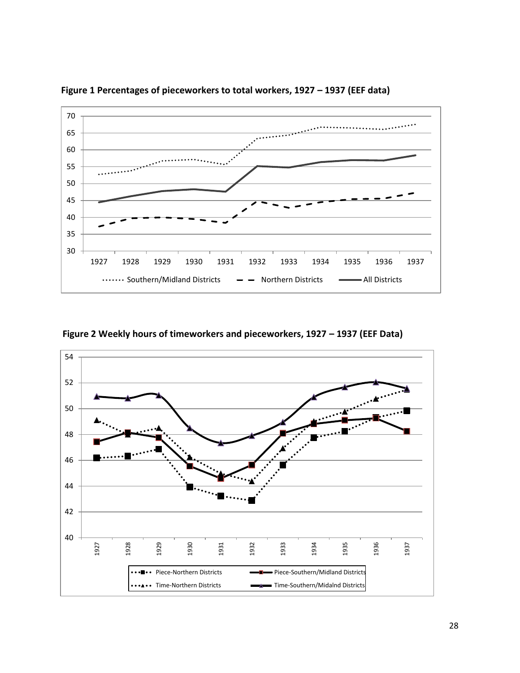

**Figure 1 Percentages of pieceworkers to total workers, 1927 – 1937 (EEF data)**

 **Figure 2 Weekly hours of timeworkers and pieceworkers, 1927 – 1937 (EEF Data)**

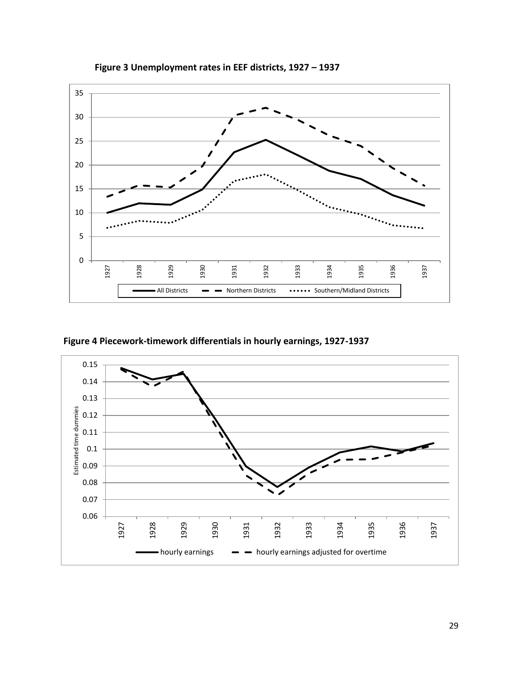

 **Figure 3 Unemployment rates in EEF districts, 1927 – 1937**

**Figure 4 Piecework-timework differentials in hourly earnings, 1927-1937** 

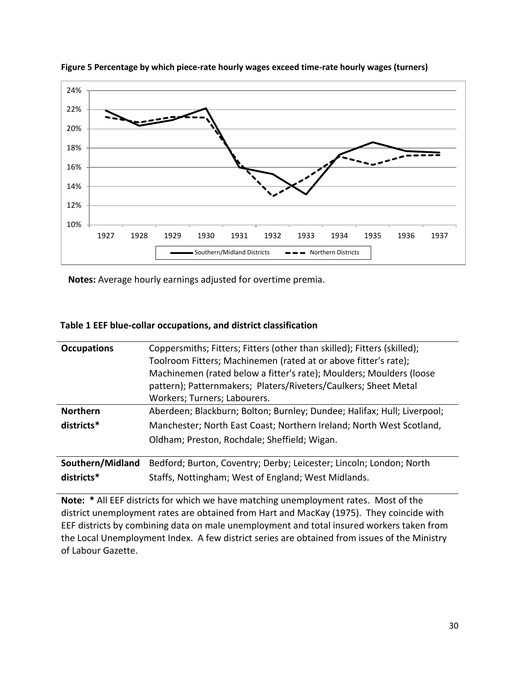



 **Notes:** Average hourly earnings adjusted for overtime premia.

#### **Table 1 EEF blue-collar occupations, and district classification**

| <b>Occupations</b> | Coppersmiths; Fitters; Fitters (other than skilled); Fitters (skilled);<br>Toolroom Fitters; Machinemen (rated at or above fitter's rate);<br>Machinemen (rated below a fitter's rate); Moulders; Moulders (loose<br>pattern); Patternmakers; Platers/Riveters/Caulkers; Sheet Metal<br>Workers; Turners; Labourers. |
|--------------------|----------------------------------------------------------------------------------------------------------------------------------------------------------------------------------------------------------------------------------------------------------------------------------------------------------------------|
| <b>Northern</b>    | Aberdeen; Blackburn; Bolton; Burnley; Dundee; Halifax; Hull; Liverpool;                                                                                                                                                                                                                                              |
| districts*         | Manchester; North East Coast; Northern Ireland; North West Scotland,                                                                                                                                                                                                                                                 |
|                    | Oldham; Preston, Rochdale; Sheffield; Wigan.                                                                                                                                                                                                                                                                         |
| Southern/Midland   | Bedford; Burton, Coventry; Derby; Leicester; Lincoln; London; North                                                                                                                                                                                                                                                  |
| districts*         | Staffs, Nottingham; West of England; West Midlands.                                                                                                                                                                                                                                                                  |

**Note: \*** All EEF districts for which we have matching unemployment rates. Most of the district unemployment rates are obtained from Hart and MacKay (1975). They coincide with EEF districts by combining data on male unemployment and total insured workers taken from the Local Unemployment Index. A few district series are obtained from issues of the Ministry of Labour Gazette.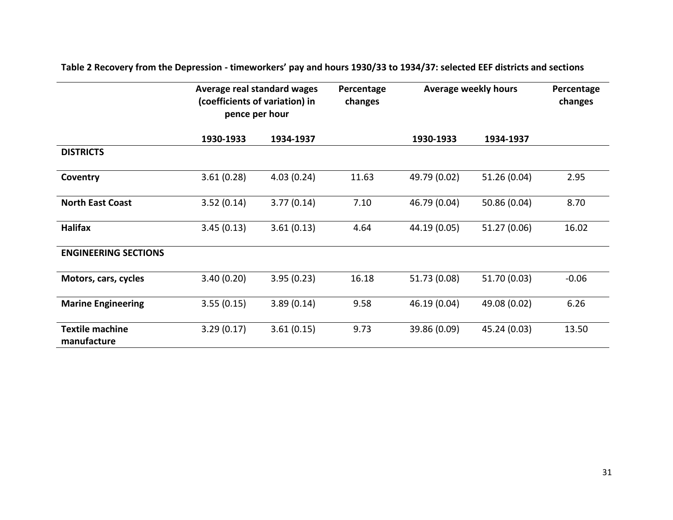|                                       | Average real standard wages<br>(coefficients of variation) in<br>pence per hour |            | Percentage<br>changes | <b>Average weekly hours</b> |              | Percentage<br>changes |
|---------------------------------------|---------------------------------------------------------------------------------|------------|-----------------------|-----------------------------|--------------|-----------------------|
|                                       | 1930-1933                                                                       | 1934-1937  |                       | 1930-1933                   | 1934-1937    |                       |
| <b>DISTRICTS</b>                      |                                                                                 |            |                       |                             |              |                       |
| Coventry                              | 3.61(0.28)                                                                      | 4.03(0.24) | 11.63                 | 49.79 (0.02)                | 51.26 (0.04) | 2.95                  |
| <b>North East Coast</b>               | 3.52(0.14)                                                                      | 3.77(0.14) | 7.10                  | 46.79 (0.04)                | 50.86 (0.04) | 8.70                  |
| <b>Halifax</b>                        | 3.45(0.13)                                                                      | 3.61(0.13) | 4.64                  | 44.19 (0.05)                | 51.27 (0.06) | 16.02                 |
| <b>ENGINEERING SECTIONS</b>           |                                                                                 |            |                       |                             |              |                       |
| Motors, cars, cycles                  | 3.40(0.20)                                                                      | 3.95(0.23) | 16.18                 | 51.73 (0.08)                | 51.70 (0.03) | $-0.06$               |
| <b>Marine Engineering</b>             | 3.55(0.15)                                                                      | 3.89(0.14) | 9.58                  | 46.19 (0.04)                | 49.08 (0.02) | 6.26                  |
| <b>Textile machine</b><br>manufacture | 3.29(0.17)                                                                      | 3.61(0.15) | 9.73                  | 39.86 (0.09)                | 45.24 (0.03) | 13.50                 |

**Table 2 Recovery from the Depression - timeworkers' pay and hours 1930/33 to 1934/37: selected EEF districts and sections**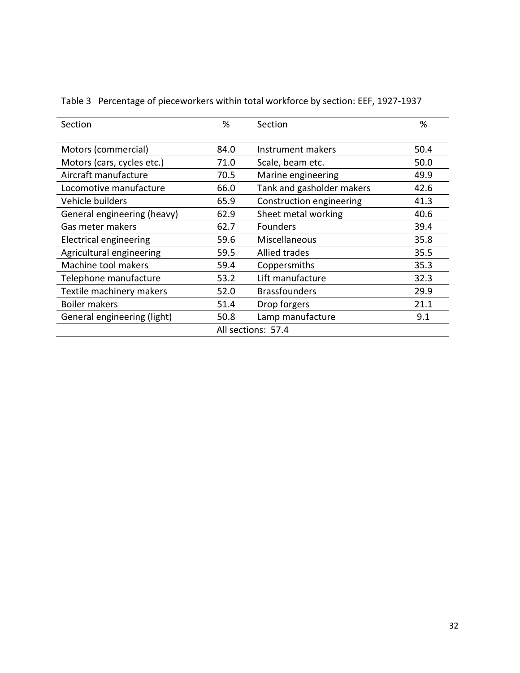| Section                       | %    | Section                   | %    |
|-------------------------------|------|---------------------------|------|
|                               |      |                           |      |
| Motors (commercial)           | 84.0 | Instrument makers         | 50.4 |
| Motors (cars, cycles etc.)    | 71.0 | Scale, beam etc.          | 50.0 |
| Aircraft manufacture          | 70.5 | Marine engineering        | 49.9 |
| Locomotive manufacture        | 66.0 | Tank and gasholder makers | 42.6 |
| Vehicle builders              | 65.9 | Construction engineering  | 41.3 |
| General engineering (heavy)   | 62.9 | Sheet metal working       | 40.6 |
| Gas meter makers              | 62.7 | Founders                  | 39.4 |
| <b>Electrical engineering</b> | 59.6 | Miscellaneous             | 35.8 |
| Agricultural engineering      | 59.5 | <b>Allied trades</b>      | 35.5 |
| Machine tool makers           | 59.4 | Coppersmiths              | 35.3 |
| Telephone manufacture         | 53.2 | Lift manufacture          | 32.3 |
| Textile machinery makers      | 52.0 | <b>Brassfounders</b>      | 29.9 |
| <b>Boiler makers</b>          | 51.4 | Drop forgers              | 21.1 |
| General engineering (light)   | 50.8 | Lamp manufacture          | 9.1  |
| All sections: 57.4            |      |                           |      |

Table 3 Percentage of pieceworkers within total workforce by section: EEF, 1927-1937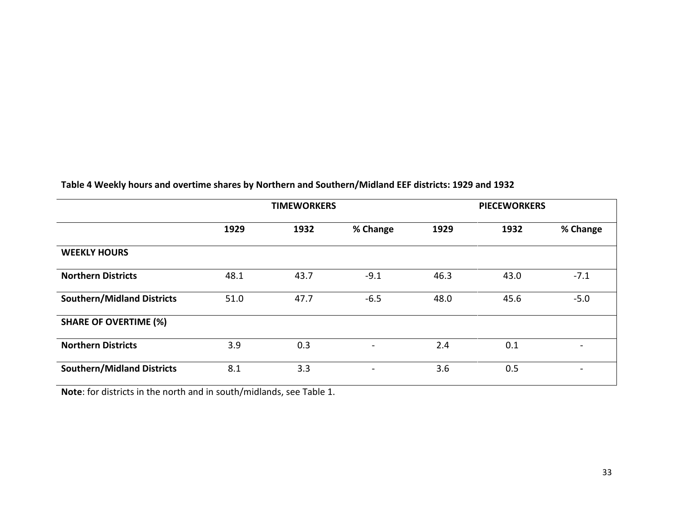|                                   | <b>TIMEWORKERS</b> |      |                          | <b>PIECEWORKERS</b> |      |                          |
|-----------------------------------|--------------------|------|--------------------------|---------------------|------|--------------------------|
|                                   | 1929               | 1932 | % Change                 | 1929                | 1932 | % Change                 |
| <b>WEEKLY HOURS</b>               |                    |      |                          |                     |      |                          |
| <b>Northern Districts</b>         | 48.1               | 43.7 | $-9.1$                   | 46.3                | 43.0 | $-7.1$                   |
| <b>Southern/Midland Districts</b> | 51.0               | 47.7 | $-6.5$                   | 48.0                | 45.6 | $-5.0$                   |
| <b>SHARE OF OVERTIME (%)</b>      |                    |      |                          |                     |      |                          |
| <b>Northern Districts</b>         | 3.9                | 0.3  | $\blacksquare$           | 2.4                 | 0.1  |                          |
| <b>Southern/Midland Districts</b> | 8.1                | 3.3  | $\overline{\phantom{a}}$ | 3.6                 | 0.5  | $\overline{\phantom{0}}$ |

**Table 4 Weekly hours and overtime shares by Northern and Southern/Midland EEF districts: 1929 and 1932**

**Note**: for districts in the north and in south/midlands, see Table 1.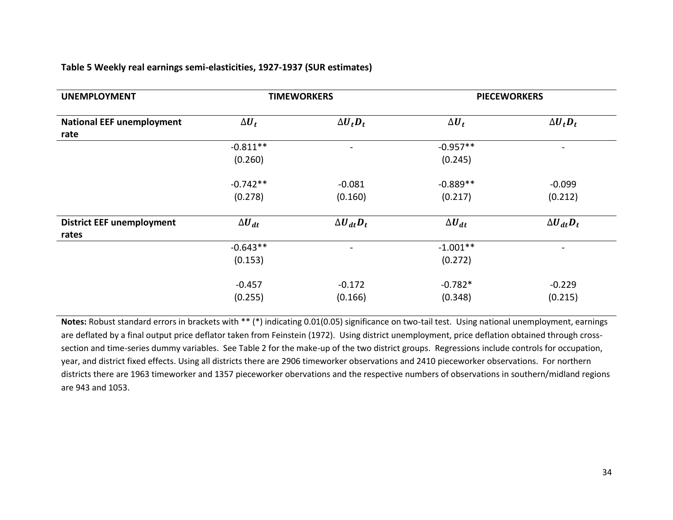| <b>UNEMPLOYMENT</b>                       |                 | <b>TIMEWORKERS</b>       | <b>PIECEWORKERS</b> |                          |  |
|-------------------------------------------|-----------------|--------------------------|---------------------|--------------------------|--|
| <b>National EEF unemployment</b>          | $\Delta U_t$    | $\Delta U_t D_t$         | $\Delta U_t$        | $\Delta U_t D_t$         |  |
| rate                                      |                 |                          |                     |                          |  |
|                                           | $-0.811**$      |                          | $-0.957**$          | $\overline{\phantom{0}}$ |  |
|                                           | (0.260)         |                          | (0.245)             |                          |  |
|                                           | $-0.742**$      | $-0.081$                 | $-0.889**$          | $-0.099$                 |  |
|                                           | (0.278)         | (0.160)                  | (0.217)             | (0.212)                  |  |
| <b>District EEF unemployment</b><br>rates | $\Delta U_{dt}$ | $\Delta U_{dt} D_t$      | $\Delta U_{dt}$     | $\Delta U_{dt}D_t$       |  |
|                                           | $-0.643**$      | $\overline{\phantom{a}}$ | $-1.001**$          | $\overline{\phantom{a}}$ |  |
|                                           | (0.153)         |                          | (0.272)             |                          |  |
|                                           | $-0.457$        | $-0.172$                 | $-0.782*$           | $-0.229$                 |  |
|                                           | (0.255)         | (0.166)                  | (0.348)             | (0.215)                  |  |

# **Table 5 Weekly real earnings semi-elasticities, 1927-1937 (SUR estimates)**

**Notes:** Robust standard errors in brackets with \*\* (\*) indicating 0.01(0.05) significance on two-tail test. Using national unemployment, earnings are deflated by a final output price deflator taken from Feinstein (1972). Using district unemployment, price deflation obtained through crosssection and time-series dummy variables. See Table 2 for the make-up of the two district groups. Regressions include controls for occupation, year, and district fixed effects. Using all districts there are 2906 timeworker observations and 2410 pieceworker observations. For northern districts there are 1963 timeworker and 1357 pieceworker obervations and the respective numbers of observations in southern/midland regions are 943 and 1053.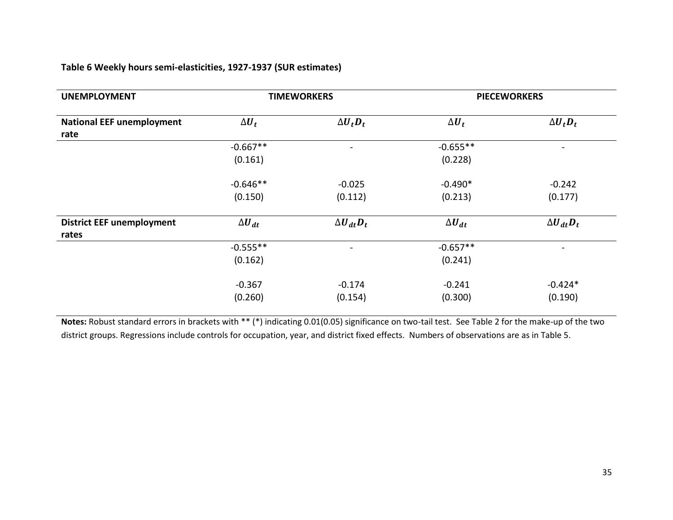| <b>UNEMPLOYMENT</b>              | <b>TIMEWORKERS</b> |                          | <b>PIECEWORKERS</b> |                          |
|----------------------------------|--------------------|--------------------------|---------------------|--------------------------|
| <b>National EEF unemployment</b> | $\Delta U_t$       | $\Delta U_t D_t$         | $\Delta U_t$        | $\Delta U_t D_t$         |
| rate                             |                    |                          |                     |                          |
|                                  | $-0.667**$         | $\overline{\phantom{0}}$ | $-0.655**$          | $\overline{\phantom{a}}$ |
|                                  | (0.161)            |                          | (0.228)             |                          |
|                                  | $-0.646**$         | $-0.025$                 | $-0.490*$           | $-0.242$                 |
|                                  | (0.150)            | (0.112)                  | (0.213)             | (0.177)                  |
| <b>District EEF unemployment</b> | $\Delta U_{dt}$    | $\Delta U_{dt} D_t$      | $\Delta U_{dt}$     | $\Delta U_{dt} D_t$      |
| rates                            |                    |                          |                     |                          |
|                                  | $-0.555**$         | $\overline{\phantom{a}}$ | $-0.657**$          | $\overline{\phantom{a}}$ |
|                                  | (0.162)            |                          | (0.241)             |                          |
|                                  | $-0.367$           | $-0.174$                 | $-0.241$            | $-0.424*$                |
|                                  | (0.260)            | (0.154)                  | (0.300)             | (0.190)                  |

# **Table 6 Weekly hours semi-elasticities, 1927-1937 (SUR estimates)**

**Notes:** Robust standard errors in brackets with \*\* (\*) indicating 0.01(0.05) significance on two-tail test. See Table 2 for the make-up of the two district groups. Regressions include controls for occupation, year, and district fixed effects. Numbers of observations are as in Table 5.